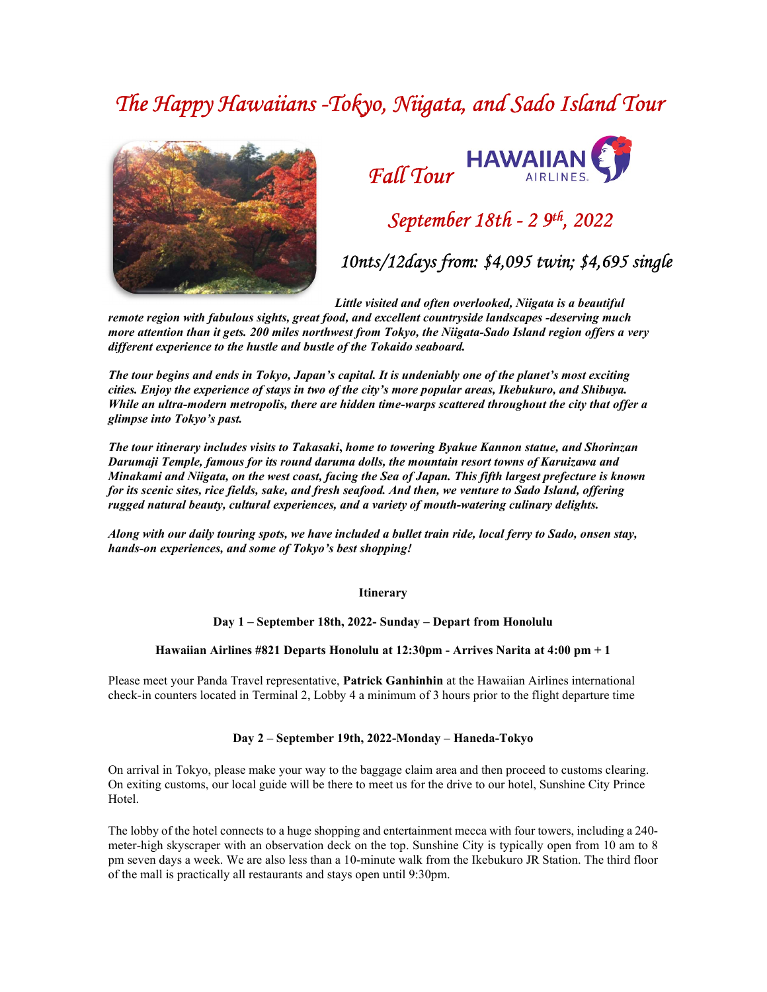# The Happy Hawaiians -Tokyo, Niigata, and Sado Island Tour





## September 18th - 2 9th, 2022

10nts/12days from: \$4,095 twin; \$4,695 single

Little visited and often overlooked, Niigata is a beautiful

remote region with fabulous sights, great food, and excellent countryside landscapes -deserving much more attention than it gets. 200 miles northwest from Tokyo, the Niigata-Sado Island region offers a very different experience to the hustle and bustle of the Tokaido seaboard.

The tour begins and ends in Tokyo, Japan's capital. It is undeniably one of the planet's most exciting cities. Enjoy the experience of stays in two of the city's more popular areas, Ikebukuro, and Shibuya. While an ultra-modern metropolis, there are hidden time-warps scattered throughout the city that offer a glimpse into Tokyo's past.

The tour itinerary includes visits to Takasaki, home to towering Byakue Kannon statue, and Shorinzan Darumaji Temple, famous for its round daruma dolls, the mountain resort towns of Karuizawa and Minakami and Niigata, on the west coast, facing the Sea of Japan. This fifth largest prefecture is known for its scenic sites, rice fields, sake, and fresh seafood. And then, we venture to Sado Island, offering rugged natural beauty, cultural experiences, and a variety of mouth-watering culinary delights.

Along with our daily touring spots, we have included a bullet train ride, local ferry to Sado, onsen stay, hands-on experiences, and some of Tokyo's best shopping!

Itinerary

Day 1 – September 18th, 2022- Sunday – Depart from Honolulu

#### Hawaiian Airlines #821 Departs Honolulu at 12:30pm - Arrives Narita at 4:00 pm + 1

Please meet your Panda Travel representative, Patrick Ganhinhin at the Hawaiian Airlines international check-in counters located in Terminal 2, Lobby 4 a minimum of 3 hours prior to the flight departure time

#### Day 2 – September 19th, 2022-Monday – Haneda-Tokyo

On arrival in Tokyo, please make your way to the baggage claim area and then proceed to customs clearing. On exiting customs, our local guide will be there to meet us for the drive to our hotel, Sunshine City Prince Hotel.

The lobby of the hotel connects to a huge shopping and entertainment mecca with four towers, including a 240 meter-high skyscraper with an observation deck on the top. Sunshine City is typically open from 10 am to 8 pm seven days a week. We are also less than a 10-minute walk from the Ikebukuro JR Station. The third floor of the mall is practically all restaurants and stays open until 9:30pm.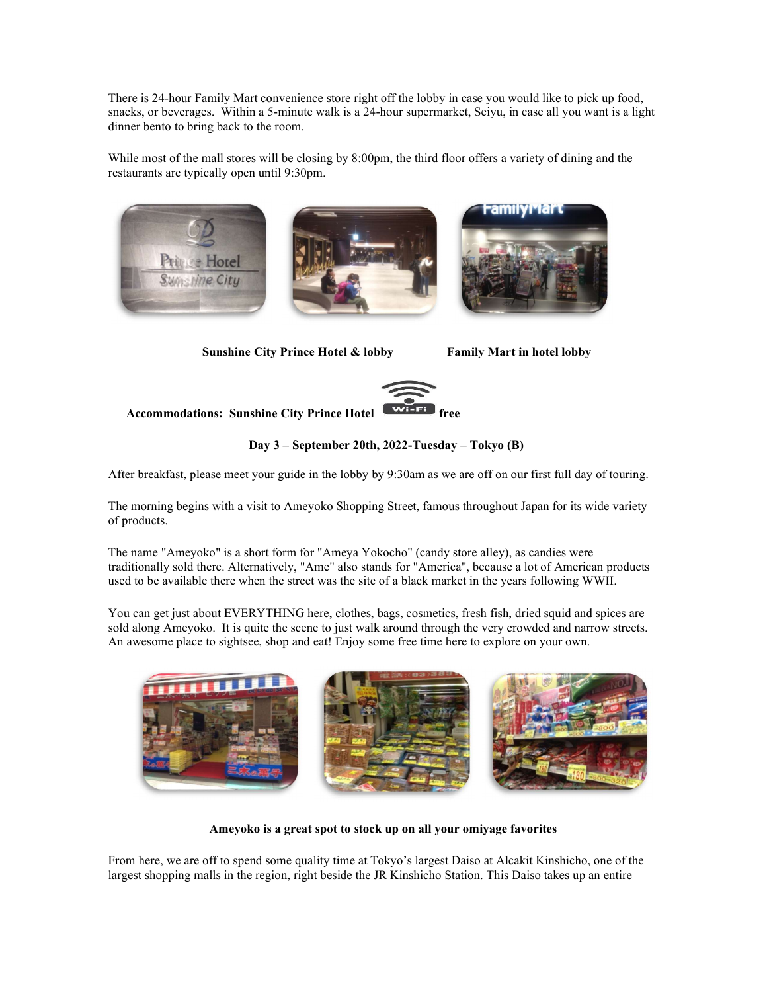There is 24-hour Family Mart convenience store right off the lobby in case you would like to pick up food, snacks, or beverages. Within a 5-minute walk is a 24-hour supermarket, Seiyu, in case all you want is a light dinner bento to bring back to the room.

While most of the mall stores will be closing by 8:00pm, the third floor offers a variety of dining and the restaurants are typically open until 9:30pm.



Sunshine City Prince Hotel & lobby Family Mart in hotel lobby



Accommodations: Sunshine City Prince Hotel

Day 3 – September 20th, 2022-Tuesday – Tokyo (B)

After breakfast, please meet your guide in the lobby by 9:30am as we are off on our first full day of touring.

The morning begins with a visit to Ameyoko Shopping Street, famous throughout Japan for its wide variety of products.

The name "Ameyoko" is a short form for "Ameya Yokocho" (candy store alley), as candies were traditionally sold there. Alternatively, "Ame" also stands for "America", because a lot of American products used to be available there when the street was the site of a black market in the years following WWII.

You can get just about EVERYTHING here, clothes, bags, cosmetics, fresh fish, dried squid and spices are sold along Ameyoko. It is quite the scene to just walk around through the very crowded and narrow streets. An awesome place to sightsee, shop and eat! Enjoy some free time here to explore on your own.



Ameyoko is a great spot to stock up on all your omiyage favorites

From here, we are off to spend some quality time at Tokyo's largest Daiso at Alcakit Kinshicho, one of the largest shopping malls in the region, right beside the JR Kinshicho Station. This Daiso takes up an entire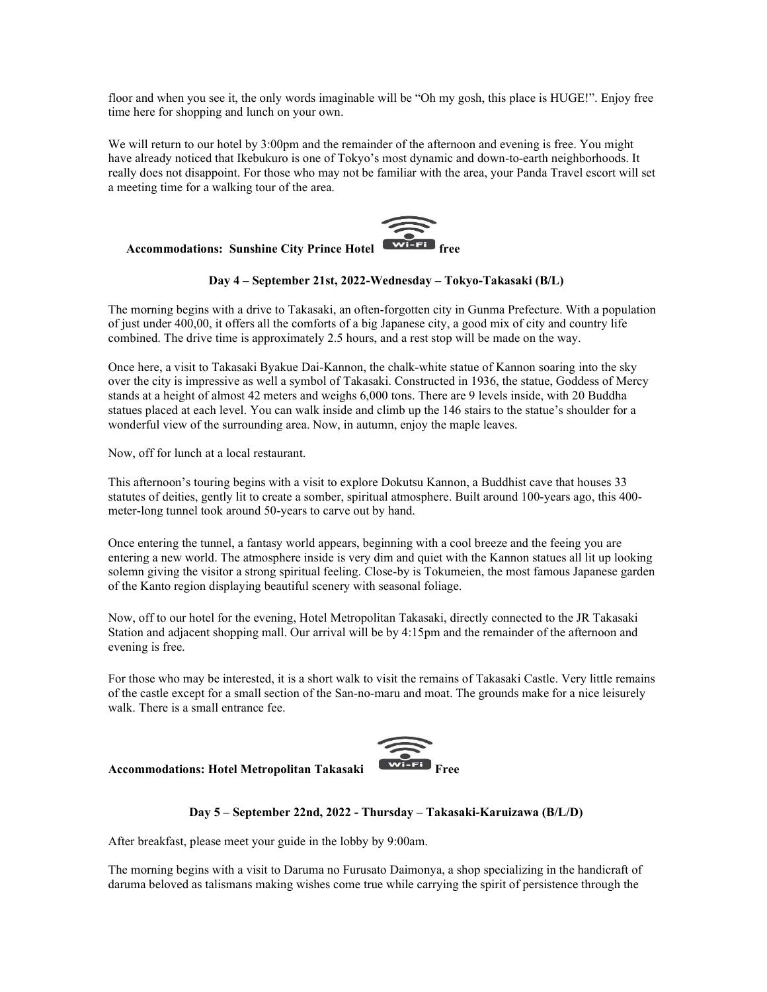floor and when you see it, the only words imaginable will be "Oh my gosh, this place is HUGE!". Enjoy free time here for shopping and lunch on your own.

We will return to our hotel by 3:00pm and the remainder of the afternoon and evening is free. You might have already noticed that Ikebukuro is one of Tokyo's most dynamic and down-to-earth neighborhoods. It really does not disappoint. For those who may not be familiar with the area, your Panda Travel escort will set a meeting time for a walking tour of the area.



## Day 4 – September 21st, 2022-Wednesday – Tokyo-Takasaki (B/L)

The morning begins with a drive to Takasaki, an often-forgotten city in Gunma Prefecture. With a population of just under 400,00, it offers all the comforts of a big Japanese city, a good mix of city and country life combined. The drive time is approximately 2.5 hours, and a rest stop will be made on the way.

Once here, a visit to Takasaki Byakue Dai-Kannon, the chalk-white statue of Kannon soaring into the sky over the city is impressive as well a symbol of Takasaki. Constructed in 1936, the statue, Goddess of Mercy stands at a height of almost 42 meters and weighs 6,000 tons. There are 9 levels inside, with 20 Buddha statues placed at each level. You can walk inside and climb up the 146 stairs to the statue's shoulder for a wonderful view of the surrounding area. Now, in autumn, enjoy the maple leaves.

Now, off for lunch at a local restaurant.

This afternoon's touring begins with a visit to explore Dokutsu Kannon, a Buddhist cave that houses 33 statutes of deities, gently lit to create a somber, spiritual atmosphere. Built around 100-years ago, this 400 meter-long tunnel took around 50-years to carve out by hand.

Once entering the tunnel, a fantasy world appears, beginning with a cool breeze and the feeing you are entering a new world. The atmosphere inside is very dim and quiet with the Kannon statues all lit up looking solemn giving the visitor a strong spiritual feeling. Close-by is Tokumeien, the most famous Japanese garden of the Kanto region displaying beautiful scenery with seasonal foliage.

Now, off to our hotel for the evening, Hotel Metropolitan Takasaki, directly connected to the JR Takasaki Station and adjacent shopping mall. Our arrival will be by 4:15pm and the remainder of the afternoon and evening is free.

For those who may be interested, it is a short walk to visit the remains of Takasaki Castle. Very little remains of the castle except for a small section of the San-no-maru and moat. The grounds make for a nice leisurely walk. There is a small entrance fee.



### Accommodations: Hotel Metropolitan Takasaki

## Day 5 – September 22nd, 2022 - Thursday – Takasaki-Karuizawa (B/L/D)

After breakfast, please meet your guide in the lobby by 9:00am.

The morning begins with a visit to Daruma no Furusato Daimonya, a shop specializing in the handicraft of daruma beloved as talismans making wishes come true while carrying the spirit of persistence through the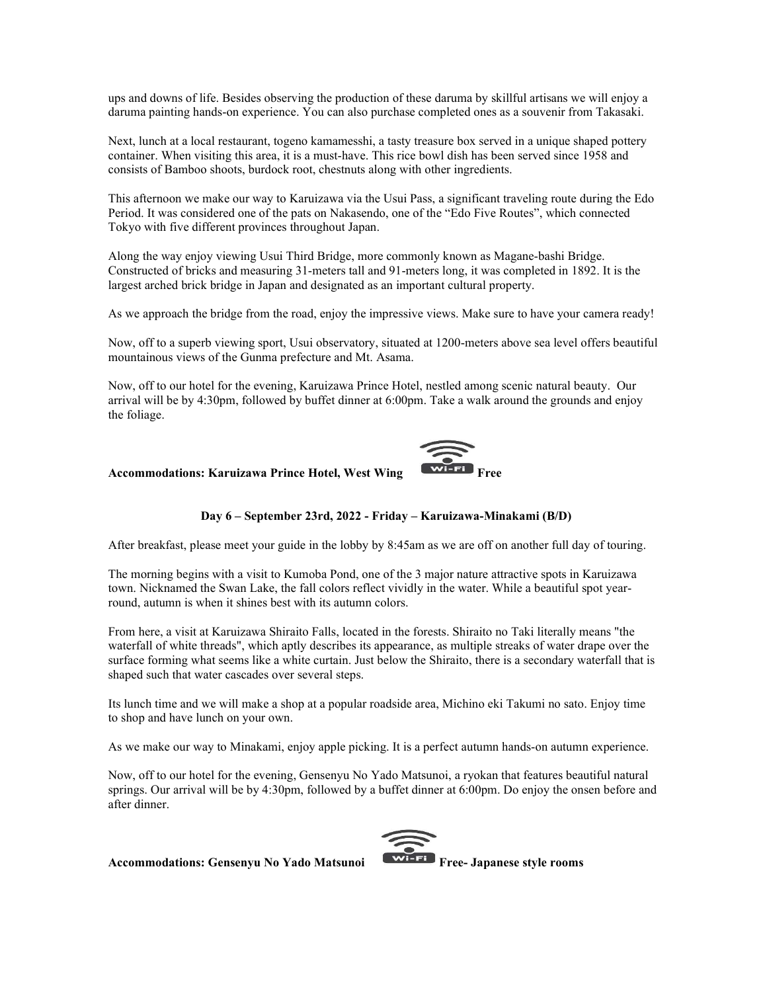ups and downs of life. Besides observing the production of these daruma by skillful artisans we will enjoy a daruma painting hands-on experience. You can also purchase completed ones as a souvenir from Takasaki.

Next, lunch at a local restaurant, togeno kamamesshi, a tasty treasure box served in a unique shaped pottery container. When visiting this area, it is a must-have. This rice bowl dish has been served since 1958 and consists of Bamboo shoots, burdock root, chestnuts along with other ingredients.

This afternoon we make our way to Karuizawa via the Usui Pass, a significant traveling route during the Edo Period. It was considered one of the pats on Nakasendo, one of the "Edo Five Routes", which connected Tokyo with five different provinces throughout Japan.

Along the way enjoy viewing Usui Third Bridge, more commonly known as Magane-bashi Bridge. Constructed of bricks and measuring 31-meters tall and 91-meters long, it was completed in 1892. It is the largest arched brick bridge in Japan and designated as an important cultural property.

As we approach the bridge from the road, enjoy the impressive views. Make sure to have your camera ready!

Now, off to a superb viewing sport, Usui observatory, situated at 1200-meters above sea level offers beautiful mountainous views of the Gunma prefecture and Mt. Asama.

Now, off to our hotel for the evening, Karuizawa Prince Hotel, nestled among scenic natural beauty. Our arrival will be by 4:30pm, followed by buffet dinner at 6:00pm. Take a walk around the grounds and enjoy the foliage.

#### Accommodations: Karuizawa Prince Hotel, West Wing



After breakfast, please meet your guide in the lobby by 8:45am as we are off on another full day of touring.

The morning begins with a visit to Kumoba Pond, one of the 3 major nature attractive spots in Karuizawa town. Nicknamed the Swan Lake, the fall colors reflect vividly in the water. While a beautiful spot yearround, autumn is when it shines best with its autumn colors.

From here, a visit at Karuizawa Shiraito Falls, located in the forests. Shiraito no Taki literally means "the waterfall of white threads", which aptly describes its appearance, as multiple streaks of water drape over the surface forming what seems like a white curtain. Just below the Shiraito, there is a secondary waterfall that is shaped such that water cascades over several steps.

Its lunch time and we will make a shop at a popular roadside area, Michino eki Takumi no sato. Enjoy time to shop and have lunch on your own.

As we make our way to Minakami, enjoy apple picking. It is a perfect autumn hands-on autumn experience.

Now, off to our hotel for the evening, Gensenyu No Yado Matsunoi, a ryokan that features beautiful natural springs. Our arrival will be by 4:30pm, followed by a buffet dinner at 6:00pm. Do enjoy the onsen before and after dinner.



Accommodations: Gensenyu No Yado Matsunoi **Executive Pree- Japanese style rooms**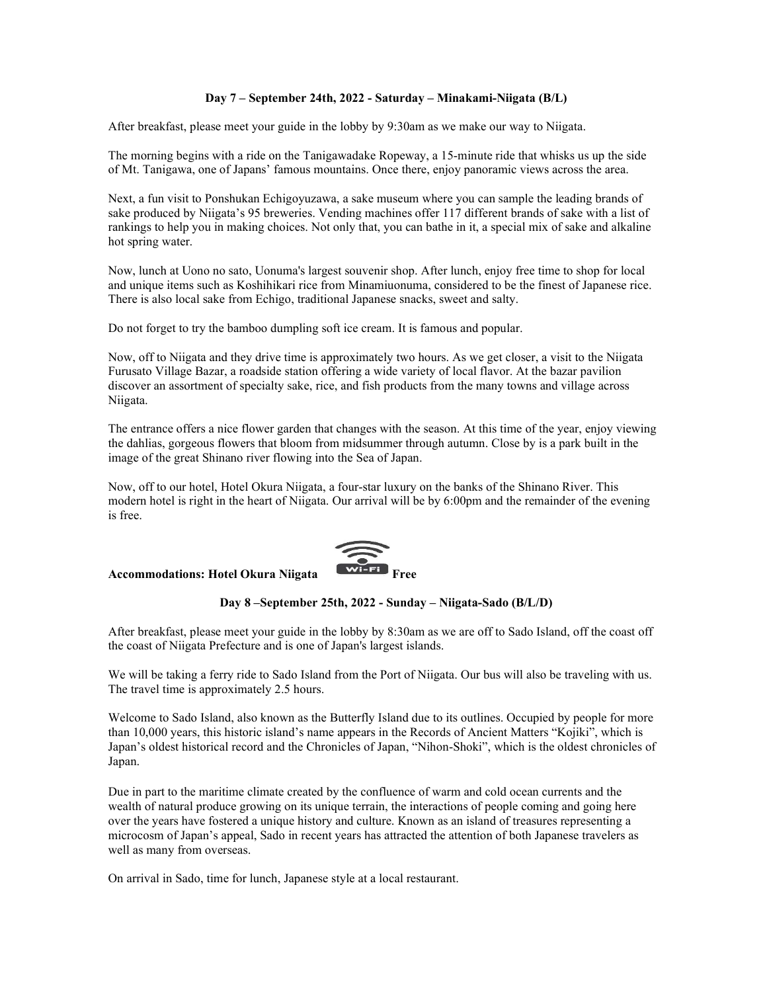### Day 7 – September 24th, 2022 - Saturday – Minakami-Niigata (B/L)

After breakfast, please meet your guide in the lobby by 9:30am as we make our way to Niigata.

The morning begins with a ride on the Tanigawadake Ropeway, a 15-minute ride that whisks us up the side of Mt. Tanigawa, one of Japans' famous mountains. Once there, enjoy panoramic views across the area.

Next, a fun visit to Ponshukan Echigoyuzawa, a sake museum where you can sample the leading brands of sake produced by Niigata's 95 breweries. Vending machines offer 117 different brands of sake with a list of rankings to help you in making choices. Not only that, you can bathe in it, a special mix of sake and alkaline hot spring water.

Now, lunch at Uono no sato, Uonuma's largest souvenir shop. After lunch, enjoy free time to shop for local and unique items such as Koshihikari rice from Minamiuonuma, considered to be the finest of Japanese rice. There is also local sake from Echigo, traditional Japanese snacks, sweet and salty.

Do not forget to try the bamboo dumpling soft ice cream. It is famous and popular.

Now, off to Niigata and they drive time is approximately two hours. As we get closer, a visit to the Niigata Furusato Village Bazar, a roadside station offering a wide variety of local flavor. At the bazar pavilion discover an assortment of specialty sake, rice, and fish products from the many towns and village across Niigata.

The entrance offers a nice flower garden that changes with the season. At this time of the year, enjoy viewing the dahlias, gorgeous flowers that bloom from midsummer through autumn. Close by is a park built in the image of the great Shinano river flowing into the Sea of Japan.

Now, off to our hotel, Hotel Okura Niigata, a four-star luxury on the banks of the Shinano River. This modern hotel is right in the heart of Niigata. Our arrival will be by 6:00pm and the remainder of the evening is free.

#### Accommodations: Hotel Okura Niigata

![](_page_4_Picture_10.jpeg)

Day 8 –September 25th, 2022 - Sunday – Niigata-Sado (B/L/D)

After breakfast, please meet your guide in the lobby by 8:30am as we are off to Sado Island, off the coast off the coast of Niigata Prefecture and is one of Japan's largest islands.

We will be taking a ferry ride to Sado Island from the Port of Niigata. Our bus will also be traveling with us. The travel time is approximately 2.5 hours.

Welcome to Sado Island, also known as the Butterfly Island due to its outlines. Occupied by people for more than 10,000 years, this historic island's name appears in the Records of Ancient Matters "Kojiki", which is Japan's oldest historical record and the Chronicles of Japan, "Nihon-Shoki", which is the oldest chronicles of Japan.

Due in part to the maritime climate created by the confluence of warm and cold ocean currents and the wealth of natural produce growing on its unique terrain, the interactions of people coming and going here over the years have fostered a unique history and culture. Known as an island of treasures representing a microcosm of Japan's appeal, Sado in recent years has attracted the attention of both Japanese travelers as well as many from overseas.

On arrival in Sado, time for lunch, Japanese style at a local restaurant.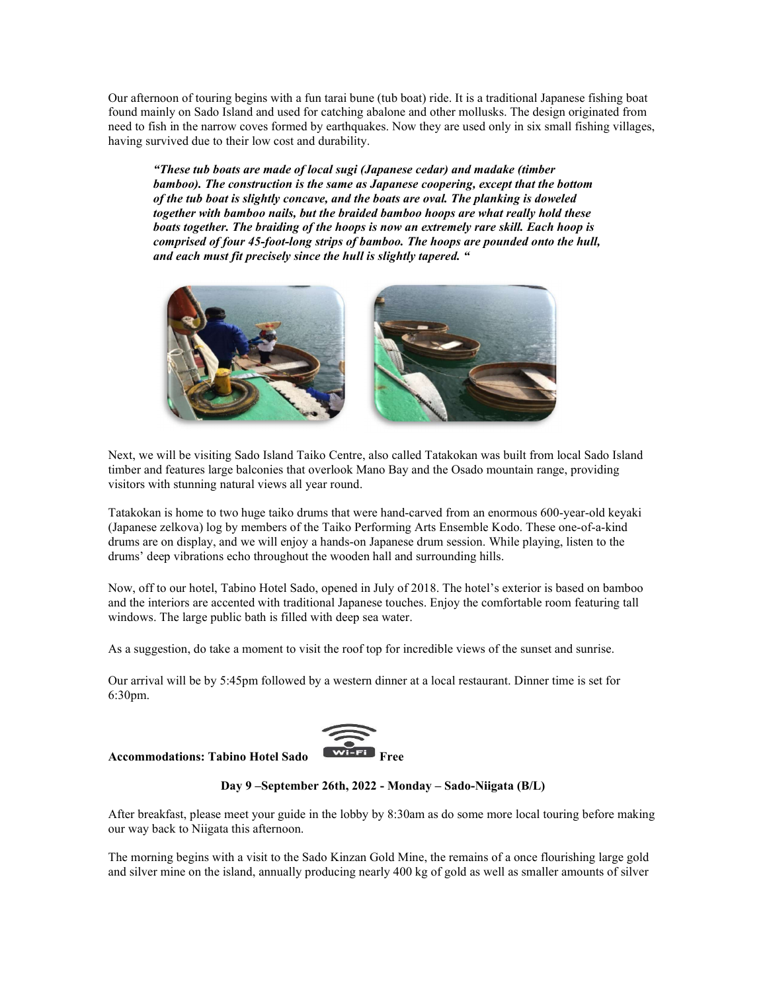Our afternoon of touring begins with a fun tarai bune (tub boat) ride. It is a traditional Japanese fishing boat found mainly on Sado Island and used for catching abalone and other mollusks. The design originated from need to fish in the narrow coves formed by earthquakes. Now they are used only in six small fishing villages, having survived due to their low cost and durability.

"These tub boats are made of local sugi (Japanese cedar) and madake (timber bamboo). The construction is the same as Japanese coopering, except that the bottom of the tub boat is slightly concave, and the boats are oval. The planking is doweled together with bamboo nails, but the braided bamboo hoops are what really hold these boats together. The braiding of the hoops is now an extremely rare skill. Each hoop is comprised of four 45-foot-long strips of bamboo. The hoops are pounded onto the hull, and each must fit precisely since the hull is slightly tapered. "

![](_page_5_Picture_2.jpeg)

Next, we will be visiting Sado Island Taiko Centre, also called Tatakokan was built from local Sado Island timber and features large balconies that overlook Mano Bay and the Osado mountain range, providing visitors with stunning natural views all year round.

Tatakokan is home to two huge taiko drums that were hand-carved from an enormous 600-year-old keyaki (Japanese zelkova) log by members of the Taiko Performing Arts Ensemble Kodo. These one-of-a-kind drums are on display, and we will enjoy a hands-on Japanese drum session. While playing, listen to the drums' deep vibrations echo throughout the wooden hall and surrounding hills.

Now, off to our hotel, Tabino Hotel Sado, opened in July of 2018. The hotel's exterior is based on bamboo and the interiors are accented with traditional Japanese touches. Enjoy the comfortable room featuring tall windows. The large public bath is filled with deep sea water.

As a suggestion, do take a moment to visit the roof top for incredible views of the sunset and sunrise.

Our arrival will be by 5:45pm followed by a western dinner at a local restaurant. Dinner time is set for 6:30pm.

## Accommodations: Tabino Hotel Sado **Example 20** Free

![](_page_5_Picture_9.jpeg)

## Day 9 –September 26th, 2022 - Monday – Sado-Niigata (B/L)

After breakfast, please meet your guide in the lobby by 8:30am as do some more local touring before making our way back to Niigata this afternoon.

The morning begins with a visit to the Sado Kinzan Gold Mine, the remains of a once flourishing large gold and silver mine on the island, annually producing nearly 400 kg of gold as well as smaller amounts of silver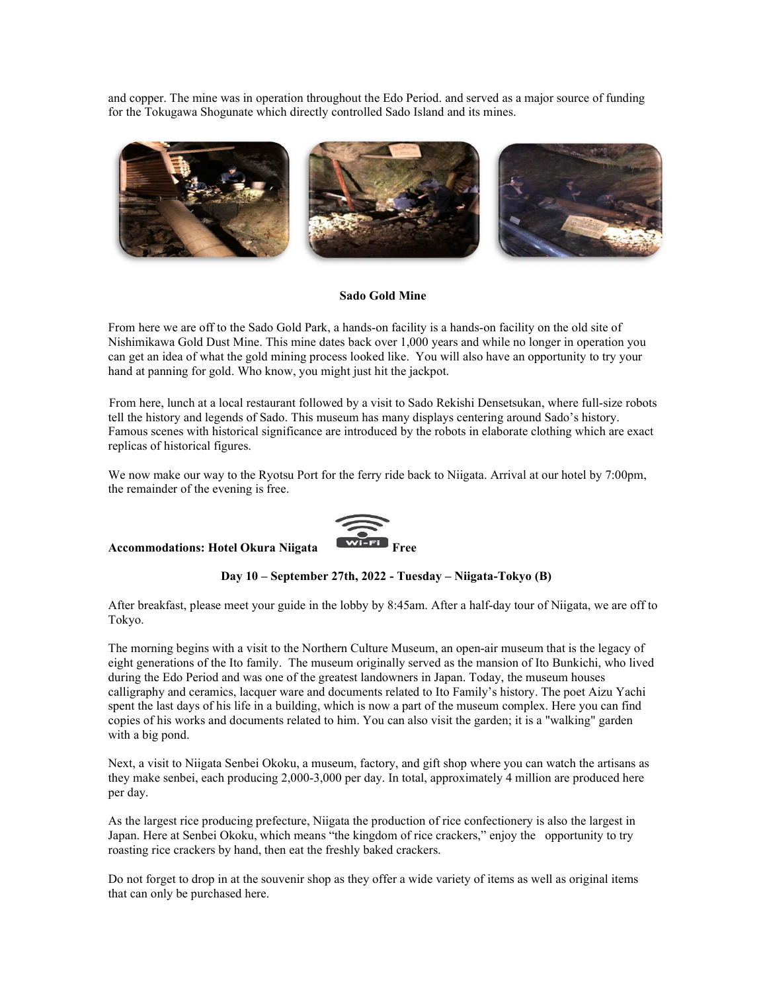and copper. The mine was in operation throughout the Edo Period. and served as a major source of funding for the Tokugawa Shogunate which directly controlled Sado Island and its mines.

![](_page_6_Picture_1.jpeg)

#### Sado Gold Mine

From here we are off to the Sado Gold Park, a hands-on facility is a hands-on facility on the old site of Nishimikawa Gold Dust Mine. This mine dates back over 1,000 years and while no longer in operation you can get an idea of what the gold mining process looked like. You will also have an opportunity to try your hand at panning for gold. Who know, you might just hit the jackpot.

 From here, lunch at a local restaurant followed by a visit to Sado Rekishi Densetsukan, where full-size robots tell the history and legends of Sado. This museum has many displays centering around Sado's history. Famous scenes with historical significance are introduced by the robots in elaborate clothing which are exact replicas of historical figures.

We now make our way to the Ryotsu Port for the ferry ride back to Niigata. Arrival at our hotel by 7:00pm, the remainder of the evening is free.

Accommodations: Hotel Okura Niigata

![](_page_6_Picture_7.jpeg)

Day 10 – September 27th, 2022 - Tuesday – Niigata-Tokyo (B)

After breakfast, please meet your guide in the lobby by 8:45am. After a half-day tour of Niigata, we are off to Tokyo.

The morning begins with a visit to the Northern Culture Museum, an open-air museum that is the legacy of eight generations of the Ito family. The museum originally served as the mansion of Ito Bunkichi, who lived during the Edo Period and was one of the greatest landowners in Japan. Today, the museum houses calligraphy and ceramics, lacquer ware and documents related to Ito Family's history. The poet Aizu Yachi spent the last days of his life in a building, which is now a part of the museum complex. Here you can find copies of his works and documents related to him. You can also visit the garden; it is a "walking" garden with a big pond.

Next, a visit to Niigata Senbei Okoku, a museum, factory, and gift shop where you can watch the artisans as they make senbei, each producing 2,000-3,000 per day. In total, approximately 4 million are produced here per day.

As the largest rice producing prefecture, Niigata the production of rice confectionery is also the largest in Japan. Here at Senbei Okoku, which means "the kingdom of rice crackers," enjoy the opportunity to try roasting rice crackers by hand, then eat the freshly baked crackers.

Do not forget to drop in at the souvenir shop as they offer a wide variety of items as well as original items that can only be purchased here.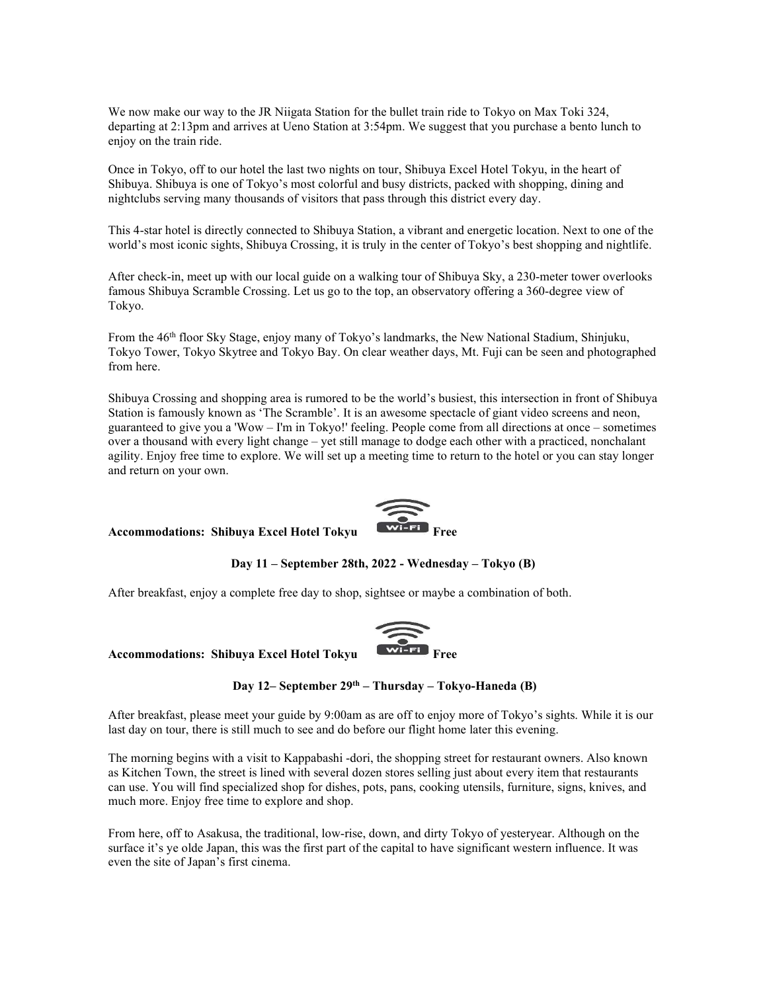We now make our way to the JR Niigata Station for the bullet train ride to Tokyo on Max Toki 324, departing at 2:13pm and arrives at Ueno Station at 3:54pm. We suggest that you purchase a bento lunch to enjoy on the train ride.

Once in Tokyo, off to our hotel the last two nights on tour, Shibuya Excel Hotel Tokyu, in the heart of Shibuya. Shibuya is one of Tokyo's most colorful and busy districts, packed with shopping, dining and nightclubs serving many thousands of visitors that pass through this district every day.

This 4-star hotel is directly connected to Shibuya Station, a vibrant and energetic location. Next to one of the world's most iconic sights, Shibuya Crossing, it is truly in the center of Tokyo's best shopping and nightlife.

After check-in, meet up with our local guide on a walking tour of Shibuya Sky, a 230-meter tower overlooks famous Shibuya Scramble Crossing. Let us go to the top, an observatory offering a 360-degree view of Tokyo.

From the 46th floor Sky Stage, enjoy many of Tokyo's landmarks, the New National Stadium, Shinjuku, Tokyo Tower, Tokyo Skytree and Tokyo Bay. On clear weather days, Mt. Fuji can be seen and photographed from here.

Shibuya Crossing and shopping area is rumored to be the world's busiest, this intersection in front of Shibuya Station is famously known as 'The Scramble'. It is an awesome spectacle of giant video screens and neon, guaranteed to give you a 'Wow – I'm in Tokyo!' feeling. People come from all directions at once – sometimes over a thousand with every light change – yet still manage to dodge each other with a practiced, nonchalant agility. Enjoy free time to explore. We will set up a meeting time to return to the hotel or you can stay longer and return on your own.

#### Accommodations: Shibuya Excel Hotel Tokyu

![](_page_7_Picture_7.jpeg)

Day 11 – September 28th, 2022 - Wednesday – Tokyo (B)

After breakfast, enjoy a complete free day to shop, sightsee or maybe a combination of both.

![](_page_7_Picture_10.jpeg)

## Accommodations: Shibuya Excel Hotel Tokyu

Day 12– September  $29<sup>th</sup>$  – Thursday – Tokyo-Haneda (B)

After breakfast, please meet your guide by 9:00am as are off to enjoy more of Tokyo's sights. While it is our last day on tour, there is still much to see and do before our flight home later this evening.

The morning begins with a visit to Kappabashi -dori, the shopping street for restaurant owners. Also known as Kitchen Town, the street is lined with several dozen stores selling just about every item that restaurants can use. You will find specialized shop for dishes, pots, pans, cooking utensils, furniture, signs, knives, and much more. Enjoy free time to explore and shop.

From here, off to Asakusa, the traditional, low-rise, down, and dirty Tokyo of yesteryear. Although on the surface it's ye olde Japan, this was the first part of the capital to have significant western influence. It was even the site of Japan's first cinema.